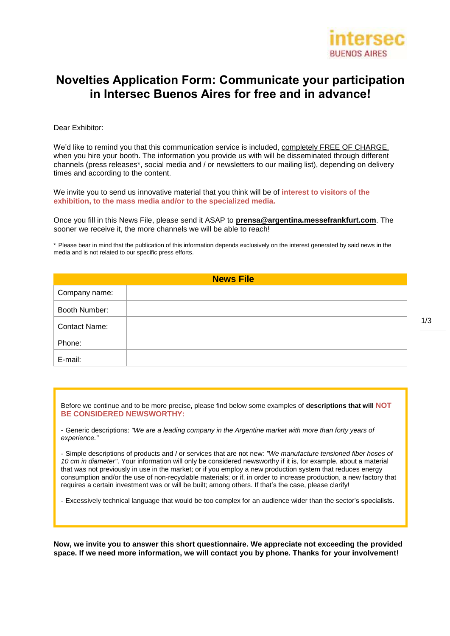

## **Novelties Application Form: Communicate your participation in Intersec Buenos Aires for free and in advance!**

Dear Exhibitor:

We'd like to remind you that this communication service is included, completely FREE OF CHARGE, when you hire your booth. The information you provide us with will be disseminated through different channels (press releases\*, social media and / or newsletters to our mailing list), depending on delivery times and according to the content.

We invite you to send us innovative material that you think will be of **interest to visitors of the exhibition, to the mass media and/or to the specialized media.**

Once you fill in this News File, please send it ASAP to **[prensa@argentina.messefrankfurt.com](mailto:prensa@argentina.messefrankfurt.com)**. The sooner we receive it, the more channels we will be able to reach!

\* Please bear in mind that the publication of this information depends exclusively on the interest generated by said news in the media and is not related to our specific press efforts.

| <b>News File</b>     |  |
|----------------------|--|
| Company name:        |  |
| Booth Number:        |  |
| <b>Contact Name:</b> |  |
| Phone:               |  |
| E-mail:              |  |

Before we continue and to be more precise, please find below some examples of **descriptions that will NOT BE CONSIDERED NEWSWORTHY:**

- Generic descriptions: *"We are a leading company in the Argentine market with more than forty years of experience."*

- Simple descriptions of products and / or services that are not new: *"We manufacture tensioned fiber hoses of 10 cm in diameter"*. Your information will only be considered newsworthy if it is, for example, about a material that was not previously in use in the market; or if you employ a new production system that reduces energy consumption and/or the use of non-recyclable materials; or if, in order to increase production, a new factory that requires a certain investment was or will be built; among others. If that's the case, please clarify!

- Excessively technical language that would be too complex for an audience wider than the sector's specialists.

**Now, we invite you to answer this short questionnaire. We appreciate not exceeding the provided space. If we need more information, we will contact you by phone. Thanks for your involvement!**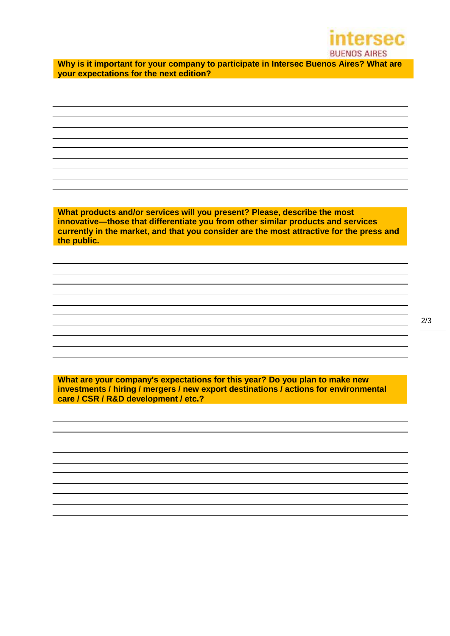

**Why is it important for your company to participate in Intersec Buenos Aires? What are your expectations for the next edition?**

**What products and/or services will you present? Please, describe the most innovative—those that differentiate you from other similar products and services currently in the market, and that you consider are the most attractive for the press and the public.**

**What are your company's expectations for this year? Do you plan to make new investments / hiring / mergers / new export destinations / actions for environmental care / CSR / R&D development / etc.?**